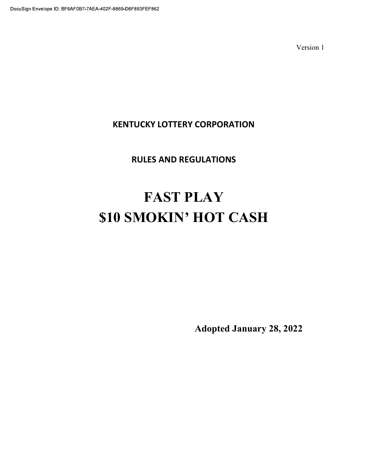## KENTUCKY LOTTERY CORPORATION

## RULES AND REGULATIONS

# FAST PLAY \$10 SMOKIN' HOT CASH

Adopted January 28, 2022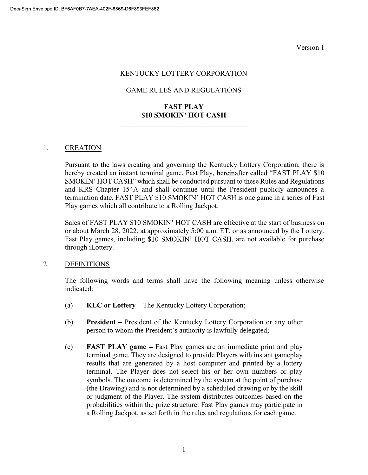#### KENTUCKY LOTTERY CORPORATION

#### GAME RULES AND REGULATIONS

#### FAST PLAY \$10 SMOKIN' HOT CASH

#### 1. CREATION

Pursuant to the laws creating and governing the Kentucky Lottery Corporation, there is hereby created an instant terminal game, Fast Play, hereinafter called "FAST PLAY \$10 SMOKIN' HOT CASH" which shall be conducted pursuant to these Rules and Regulations and KRS Chapter 154A and shall continue until the President publicly announces a termination date. FAST PLAY \$10 SMOKIN' HOT CASH is one game in a series of Fast Play games which all contribute to a Rolling Jackpot.

Sales of FAST PLAY \$10 SMOKIN' HOT CASH are effective at the start of business on or about March 28, 2022, at approximately 5:00 a.m. ET, or as announced by the Lottery. Fast Play games, including \$10 SMOKIN' HOT CASH, are not available for purchase through iLottery.

#### 2. DEFINITIONS

The following words and terms shall have the following meaning unless otherwise indicated:

- (a)  $KLC$  or Lottery The Kentucky Lottery Corporation;
- (b) President President of the Kentucky Lottery Corporation or any other person to whom the President's authority is lawfully delegated;
- (c) FAST PLAY game Fast Play games are an immediate print and play terminal game. They are designed to provide Players with instant gameplay results that are generated by a host computer and printed by a lottery terminal. The Player does not select his or her own numbers or play symbols. The outcome is determined by the system at the point of purchase (the Drawing) and is not determined by a scheduled drawing or by the skill or judgment of the Player. The system distributes outcomes based on the probabilities within the prize structure. Fast Play games may participate in a Rolling Jackpot, as set forth in the rules and regulations for each game.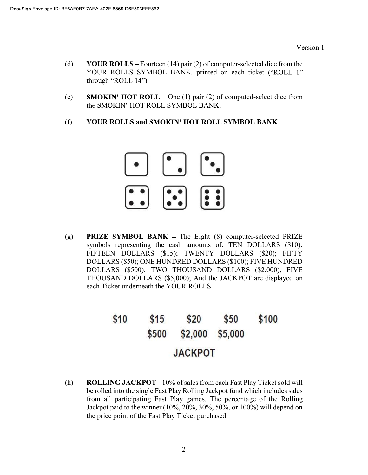- (d) YOUR ROLLS Fourteen (14) pair (2) of computer-selected dice from the YOUR ROLLS SYMBOL BANK. printed on each ticket ("ROLL 1" through "ROLL  $14$ ")
- (e) SMOKIN' HOT ROLL One (1) pair (2) of computed-select dice from the SMOKIN' HOT ROLL SYMBOL BANK,
- (f) YOUR ROLLS and SMOKIN' HOT ROLL SYMBOL BANK-



(g) **PRIZE SYMBOL BANK** – The Eight  $(8)$  computer-selected PRIZE symbols representing the cash amounts of: TEN DOLLARS (\$10); FIFTEEN DOLLARS (\$15); TWENTY DOLLARS (\$20); FIFTY DOLLARS (\$50); ONE HUNDRED DOLLARS (\$100); FIVE HUNDRED DOLLARS (\$500); TWO THOUSAND DOLLARS (\$2,000); FIVE THOUSAND DOLLARS (\$5,000); And the JACKPOT are displayed on each Ticket underneath the YOUR ROLLS.

#### \$10  $$15$ \$20 \$50 \$100 \$500 \$2,000 \$5,000 **JACKPOT**

(h) ROLLING JACKPOT - 10% of sales from each Fast Play Ticket sold will be rolled into the single Fast Play Rolling Jackpot fund which includes sales from all participating Fast Play games. The percentage of the Rolling Jackpot paid to the winner (10%, 20%, 30%, 50%, or 100%) will depend on the price point of the Fast Play Ticket purchased.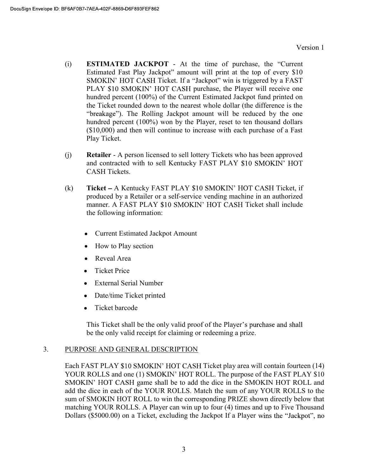- (i) **ESTIMATED JACKPOT** At the time of purchase, the "Current Estimated Fast Play Jackpot" amount will print at the top of every \$10 SMOKIN' HOT CASH Ticket. If a "Jackpot" win is triggered by a FAST PLAY \$10 SMOKIN' HOT CASH purchase, the Player will receive one hundred percent (100%) of the Current Estimated Jackpot fund printed on the Ticket rounded down to the nearest whole dollar (the difference is the "breakage"). The Rolling Jackpot amount will be reduced by the one hundred percent (100%) won by the Player, reset to ten thousand dollars (\$10,000) and then will continue to increase with each purchase of a Fast Play Ticket.
- (j) Retailer A person licensed to sell lottery Tickets who has been approved and contracted with to sell Kentucky FAST PLAY \$10 SMOKIN' HOT CASH Tickets.
- (k) Ticket  $-A$  Kentucky FAST PLAY \$10 SMOKIN' HOT CASH Ticket, if produced by a Retailer or a self-service vending machine in an authorized manner. A FAST PLAY \$10 SMOKIN' HOT CASH Ticket shall include the following information:
	- Current Estimated Jackpot Amount
	- How to Play section
	- Reveal Area
	- Ticket Price
	- External Serial Number
	- Date/time Ticket printed
	- Ticket barcode  $\bullet$

This Ticket shall be the only valid proof of the Player's purchase and shall be the only valid receipt for claiming or redeeming a prize.

#### 3. PURPOSE AND GENERAL DESCRIPTION

Each FAST PLAY \$10 SMOKIN' HOT CASH Ticket play area will contain fourteen (14) YOUR ROLLS and one (1) SMOKIN' HOT ROLL. The purpose of the FAST PLAY \$10 SMOKIN' HOT CASH game shall be to add the dice in the SMOKIN HOT ROLL and add the dice in each of the YOUR ROLLS. Match the sum of any YOUR ROLLS to the sum of SMOKIN HOT ROLL to win the corresponding PRIZE shown directly below that matching YOUR ROLLS. A Player can win up to four (4) times and up to Five Thousand Dollars (\$5000.00) on a Ticket, excluding the Jackpot If a Player wins the "Jackpot", no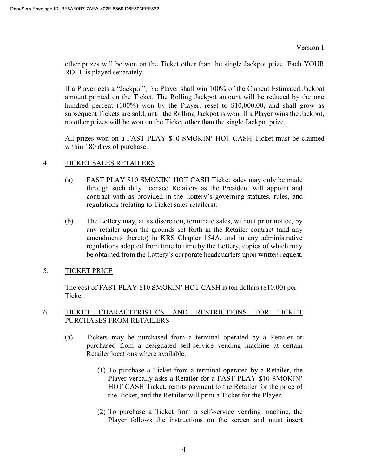other prizes will be won on the Ticket other than the single Jackpot prize. Each YOUR ROLL is played separately.

If a Player gets a "Jackpot", the Player shall win 100% of the Current Estimated Jackpot amount printed on the Ticket. The Rolling Jackpot amount will be reduced by the one hundred percent (100%) won by the Player, reset to \$10,000.00, and shall grow as subsequent Tickets are sold, until the Rolling Jackpot is won. If a Player wins the Jackpot, no other prizes will be won on the Ticket other than the single Jackpot prize.

All prizes won on a FAST PLAY \$10 SMOKIN' HOT CASH Ticket must be claimed within 180 days of purchase.

#### 4. TICKET SALES RETAILERS

- (a) FAST PLAY  $$10$  SMOKIN' HOT CASH Ticket sales may only be made through such duly licensed Retailers as the President will appoint and contract with as provided in the Lottery's governing statutes, rules, and regulations (relating to Ticket sales retailers).
- (b) The Lottery may, at its discretion, terminate sales, without prior notice, by any retailer upon the grounds set forth in the Retailer contract (and any amendments thereto) in KRS Chapter 154A, and in any administrative regulations adopted from time to time by the Lottery, copies of which may be obtained from the Lottery's corporate headquarters upon written request.

#### 5. TICKET PRICE

The cost of FAST PLAY \$10 SMOKIN' HOT CASH is ten dollars (\$10.00) per Ticket.

#### 6. TICKET CHARACTERISTICS AND RESTRICTIONS FOR TICKET PURCHASES FROM RETAILERS

- (a) Tickets may be purchased from a terminal operated by a Retailer or purchased from a designated self-service vending machine at certain Retailer locations where available.
	- (1) To purchase a Ticket from a terminal operated by a Retailer, the Player verbally asks a Retailer for a FAST PLAY \$10 SMOKIN' HOT CASH Ticket, remits payment to the Retailer for the price of the Ticket, and the Retailer will print a Ticket for the Player.
	- (2) To purchase a Ticket from a self-service vending machine, the Player follows the instructions on the screen and must insert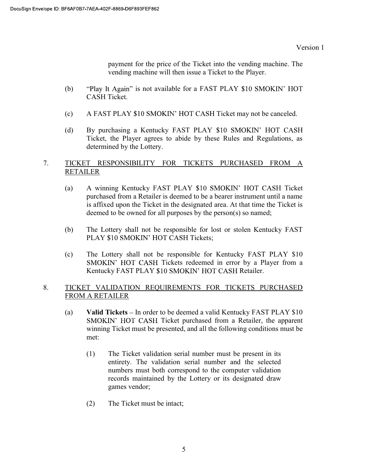payment for the price of the Ticket into the vending machine. The vending machine will then issue a Ticket to the Player.

- (b) "Play It Again" is not available for a FAST PLAY \$10 SMOKIN' HOT CASH Ticket.
- (c) A FAST PLAY \$10 SMOKIN' HOT CASH Ticket may not be canceled.
- (d) By purchasing a Kentucky FAST PLAY \$10 SMOKIN' HOT CASH Ticket, the Player agrees to abide by these Rules and Regulations, as determined by the Lottery.

#### 7. TICKET RESPONSIBILITY FOR TICKETS PURCHASED FROM A RETAILER

- (a) A winning Kentucky FAST PLAY \$10 SMOKIN' HOT CASH Ticket purchased from a Retailer is deemed to be a bearer instrument until a name is affixed upon the Ticket in the designated area. At that time the Ticket is deemed to be owned for all purposes by the person(s) so named;
- (b) The Lottery shall not be responsible for lost or stolen Kentucky FAST PLAY \$10 SMOKIN' HOT CASH Tickets;
- (c) The Lottery shall not be responsible for Kentucky FAST PLAY \$10 SMOKIN' HOT CASH Tickets redeemed in error by a Player from a Kentucky FAST PLAY \$10 SMOKIN' HOT CASH Retailer.

### 8. TICKET VALIDATION REQUIREMENTS FOR TICKETS PURCHASED FROM A RETAILER

- (a) Valid Tickets  $-$  In order to be deemed a valid Kentucky FAST PLAY \$10 SMOKIN' HOT CASH Ticket purchased from a Retailer, the apparent winning Ticket must be presented, and all the following conditions must be met:
	- (1) The Ticket validation serial number must be present in its entirety. The validation serial number and the selected numbers must both correspond to the computer validation records maintained by the Lottery or its designated draw games vendor;
	- (2) The Ticket must be intact;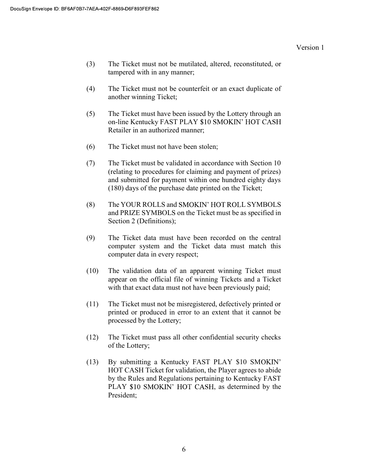- (3) The Ticket must not be mutilated, altered, reconstituted, or tampered with in any manner;
- (4) The Ticket must not be counterfeit or an exact duplicate of another winning Ticket;
- (5) The Ticket must have been issued by the Lottery through an on-line Kentucky FAST PLAY \$10 SMOKIN' HOT CASH Retailer in an authorized manner;
- (6) The Ticket must not have been stolen;
- (7) The Ticket must be validated in accordance with Section 10 (relating to procedures for claiming and payment of prizes) and submitted for payment within one hundred eighty days (180) days of the purchase date printed on the Ticket;
- (8) The YOUR ROLLS and SMOKIN' HOT ROLL SYMBOLS and PRIZE SYMBOLS on the Ticket must be as specified in Section 2 (Definitions);
- (9) The Ticket data must have been recorded on the central computer system and the Ticket data must match this computer data in every respect;
- (10) The validation data of an apparent winning Ticket must appear on the official file of winning Tickets and a Ticket with that exact data must not have been previously paid;
- (11) The Ticket must not be misregistered, defectively printed or printed or produced in error to an extent that it cannot be processed by the Lottery;
- (12) The Ticket must pass all other confidential security checks of the Lottery;
- (13) By submitting a Kentucky FAST PLAY \$10 SM HOT CASH Ticket for validation, the Player agrees to abide by the Rules and Regulations pertaining to Kentucky FAST PLAY \$10 SMOKIN' HOT CASH, as determined by the President;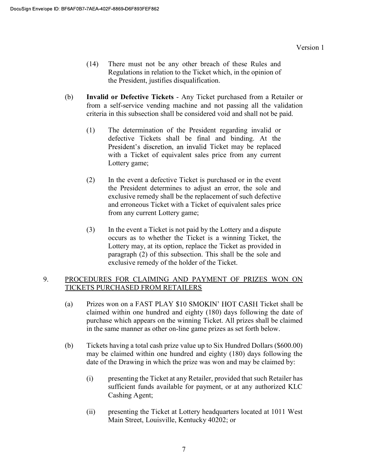- (14) There must not be any other breach of these Rules and Regulations in relation to the Ticket which, in the opinion of the President, justifies disqualification.
- (b) Invalid or Defective Tickets Any Ticket purchased from a Retailer or from a self-service vending machine and not passing all the validation criteria in this subsection shall be considered void and shall not be paid.
	- (1) The determination of the President regarding invalid or defective Tickets shall be final and binding. At the President's discretion, an invalid Ticket may be replaced with a Ticket of equivalent sales price from any current Lottery game;
	- (2) In the event a defective Ticket is purchased or in the event the President determines to adjust an error, the sole and exclusive remedy shall be the replacement of such defective and erroneous Ticket with a Ticket of equivalent sales price from any current Lottery game;
	- (3) In the event a Ticket is not paid by the Lottery and a dispute occurs as to whether the Ticket is a winning Ticket, the Lottery may, at its option, replace the Ticket as provided in paragraph (2) of this subsection. This shall be the sole and exclusive remedy of the holder of the Ticket.

#### 9. PROCEDURES FOR CLAIMING AND PAYMENT OF PRIZES WON ON TICKETS PURCHASED FROM RETAILERS

- (a) Prizes won on a FAST PLAY \$10 SMOKIN' HOT CASH Ticket shall be claimed within one hundred and eighty (180) days following the date of purchase which appears on the winning Ticket. All prizes shall be claimed in the same manner as other on-line game prizes as set forth below.
- (b) Tickets having a total cash prize value up to Six Hundred Dollars (\$600.00) may be claimed within one hundred and eighty (180) days following the date of the Drawing in which the prize was won and may be claimed by:
	- (i) presenting the Ticket at any Retailer, provided that such Retailer has sufficient funds available for payment, or at any authorized KLC Cashing Agent;
	- (ii) presenting the Ticket at Lottery headquarters located at 1011 West Main Street, Louisville, Kentucky 40202; or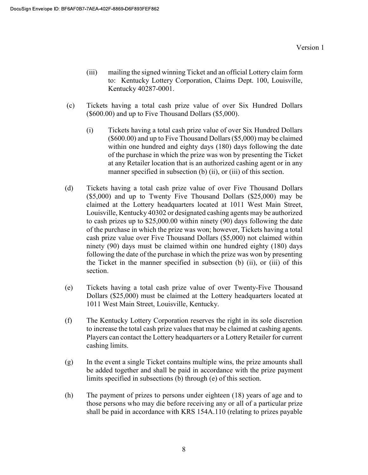- (iii) mailing the signed winning Ticket and an official Lottery claim form to: Kentucky Lottery Corporation, Claims Dept. 100, Louisville, Kentucky 40287-0001.
- (c) Tickets having a total cash prize value of over Six Hundred Dollars (\$600.00) and up to Five Thousand Dollars (\$5,000).
	- (i) Tickets having a total cash prize value of over Six Hundred Dollars (\$600.00) and up to Five Thousand Dollars (\$5,000) may be claimed within one hundred and eighty days (180) days following the date of the purchase in which the prize was won by presenting the Ticket at any Retailer location that is an authorized cashing agent or in any manner specified in subsection (b) (ii), or (iii) of this section.
- (d) Tickets having a total cash prize value of over Five Thousand Dollars (\$5,000) and up to Twenty Five Thousand Dollars (\$25,000) may be claimed at the Lottery headquarters located at 1011 West Main Street, Louisville, Kentucky 40302 or designated cashing agents may be authorized to cash prizes up to \$25,000.00 within ninety (90) days following the date of the purchase in which the prize was won; however, Tickets having a total cash prize value over Five Thousand Dollars (\$5,000) not claimed within ninety (90) days must be claimed within one hundred eighty (180) days following the date of the purchase in which the prize was won by presenting the Ticket in the manner specified in subsection (b) (ii), or (iii) of this section.
- (e) Tickets having a total cash prize value of over Twenty-Five Thousand Dollars (\$25,000) must be claimed at the Lottery headquarters located at 1011 West Main Street, Louisville, Kentucky.
- (f) The Kentucky Lottery Corporation reserves the right in its sole discretion to increase the total cash prize values that may be claimed at cashing agents. Players can contact the Lottery headquarters or a Lottery Retailer for current cashing limits.
- (g) In the event a single Ticket contains multiple wins, the prize amounts shall be added together and shall be paid in accordance with the prize payment limits specified in subsections (b) through (e) of this section.
- (h) The payment of prizes to persons under eighteen (18) years of age and to those persons who may die before receiving any or all of a particular prize shall be paid in accordance with KRS 154A.110 (relating to prizes payable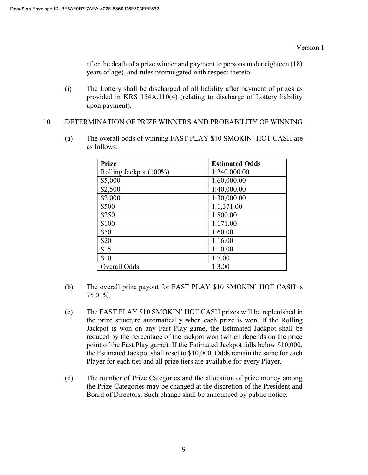after the death of a prize winner and payment to persons under eighteen (18) years of age), and rules promulgated with respect thereto.

(i) The Lottery shall be discharged of all liability after payment of prizes as provided in KRS 154A.110(4) (relating to discharge of Lottery liability upon payment).

#### 10. DETERMINATION OF PRIZE WINNERS AND PROBABILITY OF WINNING

(a) The overall odds of winning FAST PLAY \$10 SMOKIN' HOT CASH are as follows:

| <b>Prize</b>           | <b>Estimated Odds</b> |
|------------------------|-----------------------|
| Rolling Jackpot (100%) | 1:240,000.00          |
| \$5,000                | 1:60,000.00           |
| \$2,500                | 1:40,000.00           |
| \$2,000                | 1:30,000.00           |
| \$500                  | 1:1,371.00            |
| \$250                  | 1:800.00              |
| \$100                  | 1:171.00              |
| \$50                   | 1:60.00               |
| \$20                   | 1:16.00               |
| \$15                   | 1:10.00               |
| \$10                   | 1:7.00                |
| Overall Odds           | 1:3.00                |

- (b) The overall prize payout for FAST PLAY  $$10$  SMOKIN' HOT CASH is 75.01%.
- $(c)$  The FAST PLAY \$10 SMOKIN' HOT CASH prizes will be replenished in the prize structure automatically when each prize is won. If the Rolling Jackpot is won on any Fast Play game, the Estimated Jackpot shall be reduced by the percentage of the jackpot won (which depends on the price point of the Fast Play game). If the Estimated Jackpot falls below \$10,000, the Estimated Jackpot shall reset to \$10,000. Odds remain the same for each Player for each tier and all prize tiers are available for every Player.
- (d) The number of Prize Categories and the allocation of prize money among the Prize Categories may be changed at the discretion of the President and Board of Directors. Such change shall be announced by public notice.